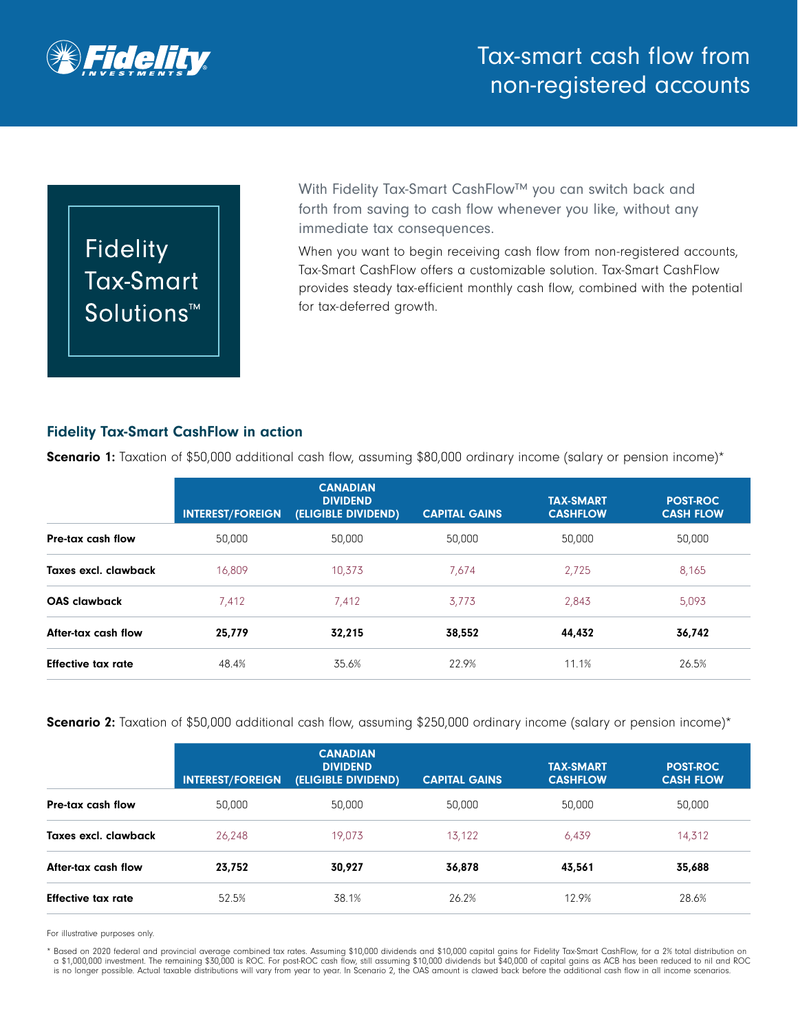

**Fidelity Tax-Smart** Solutions<sup>™</sup> With Fidelity Tax-Smart CashFlow™ you can switch back and forth from saving to cash flow whenever you like, without any immediate tax consequences.

When you want to begin receiving cash flow from non-registered accounts, Tax-Smart CashFlow offers a customizable solution. Tax-Smart CashFlow provides steady tax-efficient monthly cash flow, combined with the potential for tax-deferred growth.

# Fidelity Tax-Smart CashFlow in action

|                           | <b>INTEREST/FOREIGN</b> | <b>CANADIAN</b><br><b>DIVIDEND</b><br>(ELIGIBLE DIVIDEND) | <b>CAPITAL GAINS</b> | <b>TAX-SMART</b><br><b>CASHFLOW</b> | POST-ROC<br><b>CASH FLOW</b> |
|---------------------------|-------------------------|-----------------------------------------------------------|----------------------|-------------------------------------|------------------------------|
| Pre-tax cash flow         | 50,000                  | 50,000                                                    | 50,000               | 50,000                              | 50,000                       |
| Taxes excl. clawback      | 16,809                  | 10,373                                                    | 7,674                | 2,725                               | 8,165                        |
| <b>OAS</b> clawback       | 7,412                   | 7,412                                                     | 3,773                | 2,843                               | 5,093                        |
| After-tax cash flow       | 25,779                  | 32.215                                                    | 38,552               | 44,432                              | 36,742                       |
| <b>Effective tax rate</b> | 48.4%                   | 35.6%                                                     | 22.9%                | 11.1%                               | 26.5%                        |

Scenario 1: Taxation of \$50,000 additional cash flow, assuming \$80,000 ordinary income (salary or pension income)\*

Scenario 2: Taxation of \$50,000 additional cash flow, assuming \$250,000 ordinary income (salary or pension income)\*

|                      | <b>INTEREST/FOREIGN</b> | <b>CANADIAN</b><br><b>DIVIDEND</b><br>(ELIGIBLE DIVIDEND) | <b>CAPITAL GAINS</b> | <b>TAX-SMART</b><br><b>CASHFLOW</b> | <b>POST-ROC</b><br><b>CASH FLOW</b> |
|----------------------|-------------------------|-----------------------------------------------------------|----------------------|-------------------------------------|-------------------------------------|
| Pre-tax cash flow    | 50,000                  | 50,000                                                    | 50,000               | 50,000                              | 50,000                              |
| Taxes excl. clawback | 26,248                  | 19,073                                                    | 13,122               | 6,439                               | 14,312                              |
| After-tax cash flow  | 23,752                  | 30,927                                                    | 36,878               | 43,561                              | 35,688                              |
| Effective tax rate   | 52.5%                   | 38.1%                                                     | 26.2%                | 12.9%                               | 28.6%                               |

For illustrative purposes only.

\* Based on 2020 federal and provincial average combined tax rates. Assuming \$10,000 dividends and \$10,000 capital gains for Fidelity Tax-Smart CashFlow, for a 2% total distribution on<br>a \$1,000,000 investment. The remaining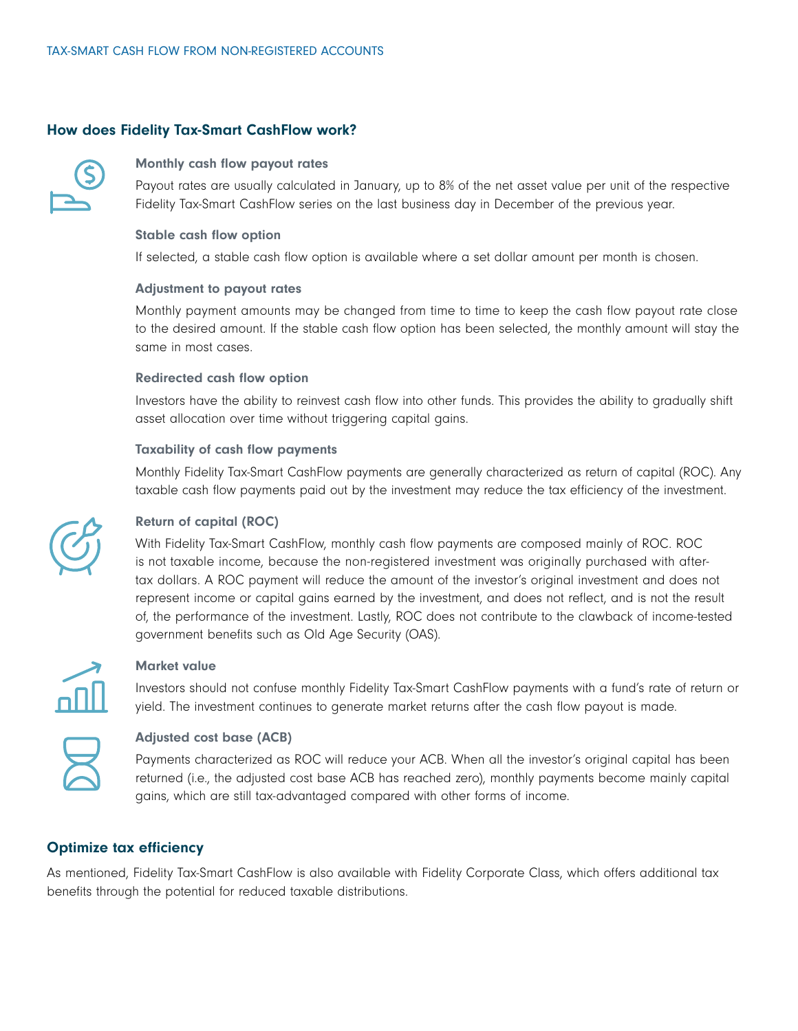# How does Fidelity Tax-Smart CashFlow work?



#### Monthly cash flow payout rates

Payout rates are usually calculated in January, up to 8% of the net asset value per unit of the respective Fidelity Tax-Smart CashFlow series on the last business day in December of the previous year.

#### Stable cash flow option

If selected, a stable cash flow option is available where a set dollar amount per month is chosen.

#### Adjustment to payout rates

Monthly payment amounts may be changed from time to time to keep the cash flow payout rate close to the desired amount. If the stable cash flow option has been selected, the monthly amount will stay the same in most cases.

#### Redirected cash flow option

Investors have the ability to reinvest cash flow into other funds. This provides the ability to gradually shift asset allocation over time without triggering capital gains.

#### Taxability of cash flow payments

Monthly Fidelity Tax-Smart CashFlow payments are generally characterized as return of capital (ROC). Any taxable cash flow payments paid out by the investment may reduce the tax efficiency of the investment.



## Return of capital (ROC)

With Fidelity Tax-Smart CashFlow, monthly cash flow payments are composed mainly of ROC. ROC is not taxable income, because the non-registered investment was originally purchased with aftertax dollars. A ROC payment will reduce the amount of the investor's original investment and does not represent income or capital gains earned by the investment, and does not reflect, and is not the result of, the performance of the investment. Lastly, ROC does not contribute to the clawback of income-tested government benefits such as Old Age Security (OAS).



#### Market value

Investors should not confuse monthly Fidelity Tax-Smart CashFlow payments with a fund's rate of return or yield. The investment continues to generate market returns after the cash flow payout is made.



#### Adjusted cost base (ACB)

Payments characterized as ROC will reduce your ACB. When all the investor's original capital has been returned (i.e., the adjusted cost base ACB has reached zero), monthly payments become mainly capital gains, which are still tax-advantaged compared with other forms of income.

## Optimize tax efficiency

As mentioned, Fidelity Tax-Smart CashFlow is also available with Fidelity Corporate Class, which offers additional tax benefits through the potential for reduced taxable distributions.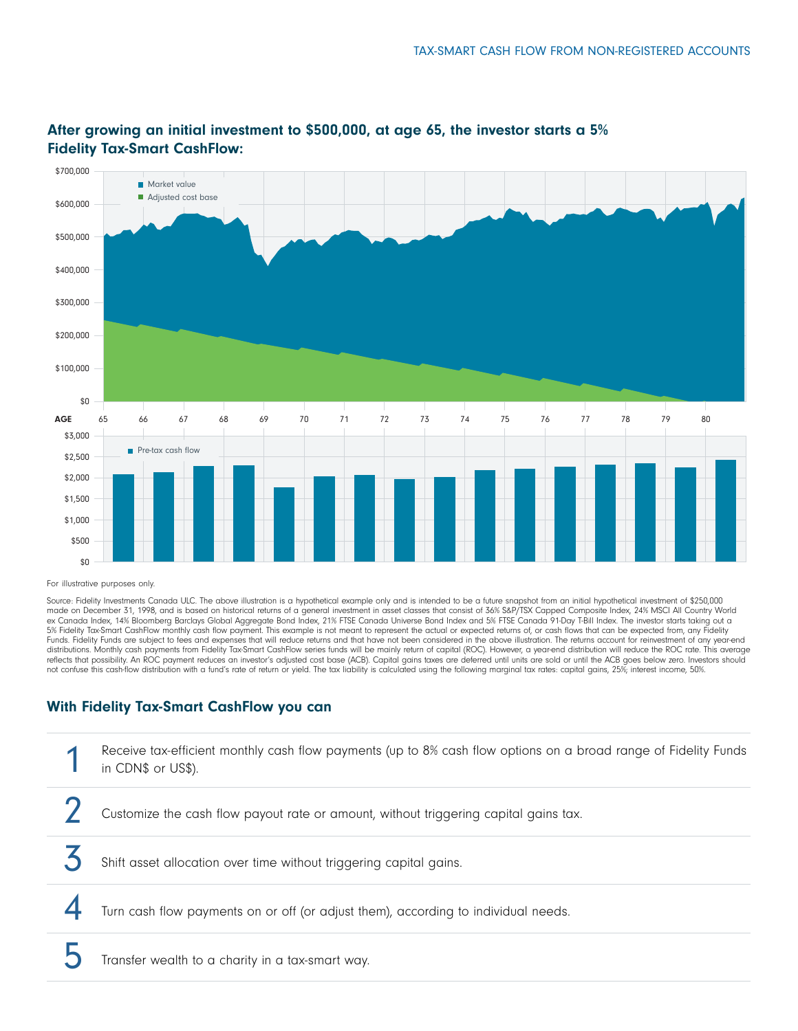

# After growing an initial investment to \$500,000, at age 65, the investor starts a 5% Fidelity Tax-Smart CashFlow:

For illustrative purposes only.

Source: Fidelity Investments Canada ULC. The above illustration is a hypothetical example only and is intended to be a future snapshot from an initial hypothetical investment of \$250,000 made on December 31, 1998, and is based on historical returns of a general investment in asset classes that consist of 36% S&P/TSX Capped Composite Index, 24% MSCI All Country World ex Canada Index, 14% Bloomberg Barclays Global Aggregate Bond Index, 21% FTSE Canada Universe Bond Index and 5% FTSE Canada 91-Day T-Bill Index. The investor starts taking out a 5% Fidelity Tax-Smart CashFlow monthly cash flow payment. This example is not meant to represent the actual or expected returns of, or cash flows that can be expected from, any Fidelity<br>Funds. Fidelity Funds are subject to distributions. Monthly cash payments from Fidelity Tax-Smart CashFlow series funds will be mainly return of capital (ROC). However, a year-end distribution will reduce the ROC rate. This average reflects that possibility. An ROC payment reduces an investor's adjusted cost base (ACB). Capital gains taxes are deferred until units are sold or until the ACB goes below zero. Investors should not confuse this cash-flow distribution with a fund's rate of return or yield. The tax liability is calculated using the following marginal tax rates: capital gains, 25%; interest income, 50%.

# With Fidelity Tax-Smart CashFlow you can

| Receive tax-efficient monthly cash flow payments (up to 8% cash flow options on a broad range of Fidelity Funds<br>in CDN\$ or US\$). |
|---------------------------------------------------------------------------------------------------------------------------------------|
| Customize the cash flow payout rate or amount, without triggering capital gains tax.                                                  |
| Shift asset allocation over time without triggering capital gains.                                                                    |
| Turn cash flow payments on or off (or adjust them), according to individual needs.                                                    |
| Transfer wealth to a charity in a tax-smart way.                                                                                      |